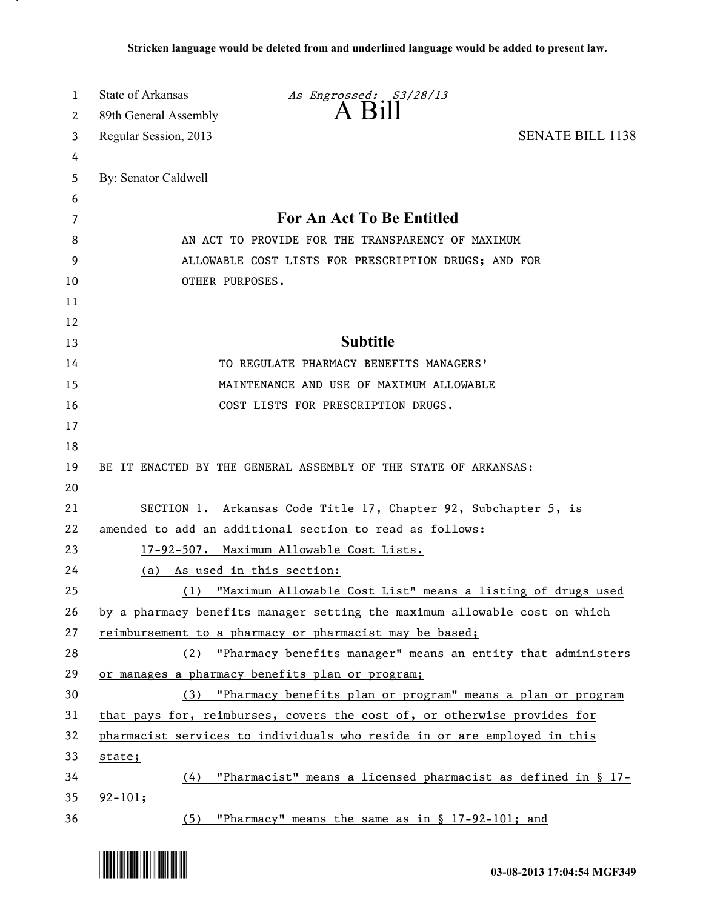| 1  | <b>State of Arkansas</b><br>As Engrossed: S3/28/13                         |                         |
|----|----------------------------------------------------------------------------|-------------------------|
| 2  | $A$ $B111$<br>89th General Assembly                                        |                         |
| 3  | Regular Session, 2013                                                      | <b>SENATE BILL 1138</b> |
| 4  |                                                                            |                         |
| 5  | By: Senator Caldwell                                                       |                         |
| 6  |                                                                            |                         |
| 7  | For An Act To Be Entitled                                                  |                         |
| 8  | AN ACT TO PROVIDE FOR THE TRANSPARENCY OF MAXIMUM                          |                         |
| 9  | ALLOWABLE COST LISTS FOR PRESCRIPTION DRUGS; AND FOR                       |                         |
| 10 | OTHER PURPOSES.                                                            |                         |
| 11 |                                                                            |                         |
| 12 |                                                                            |                         |
| 13 | <b>Subtitle</b>                                                            |                         |
| 14 | TO REGULATE PHARMACY BENEFITS MANAGERS'                                    |                         |
| 15 | MAINTENANCE AND USE OF MAXIMUM ALLOWABLE                                   |                         |
| 16 | COST LISTS FOR PRESCRIPTION DRUGS.                                         |                         |
| 17 |                                                                            |                         |
| 18 |                                                                            |                         |
| 19 | BE IT ENACTED BY THE GENERAL ASSEMBLY OF THE STATE OF ARKANSAS:            |                         |
| 20 |                                                                            |                         |
| 21 | SECTION 1. Arkansas Code Title 17, Chapter 92, Subchapter 5, is            |                         |
| 22 | amended to add an additional section to read as follows:                   |                         |
| 23 | 17-92-507. Maximum Allowable Cost Lists.                                   |                         |
| 24 | As used in this section:<br>(a)                                            |                         |
| 25 | "Maximum Allowable Cost List" means a listing of drugs used<br>(1)         |                         |
| 26 | by a pharmacy benefits manager setting the maximum allowable cost on which |                         |
| 27 | reimbursement to a pharmacy or pharmacist may be based;                    |                         |
| 28 | (2) "Pharmacy benefits manager" means an entity that administers           |                         |
| 29 | or manages a pharmacy benefits plan or program;                            |                         |
| 30 | (3) "Pharmacy benefits plan or program" means a plan or program            |                         |
| 31 | that pays for, reimburses, covers the cost of, or otherwise provides for   |                         |
| 32 | pharmacist services to individuals who reside in or are employed in this   |                         |
| 33 | state;                                                                     |                         |
| 34 | "Pharmacist" means a licensed pharmacist as defined in § 17-<br>(4)        |                         |
| 35 | $92 - 101;$                                                                |                         |
| 36 | (5)<br>"Pharmacy" means the same as in § 17-92-101; and                    |                         |



.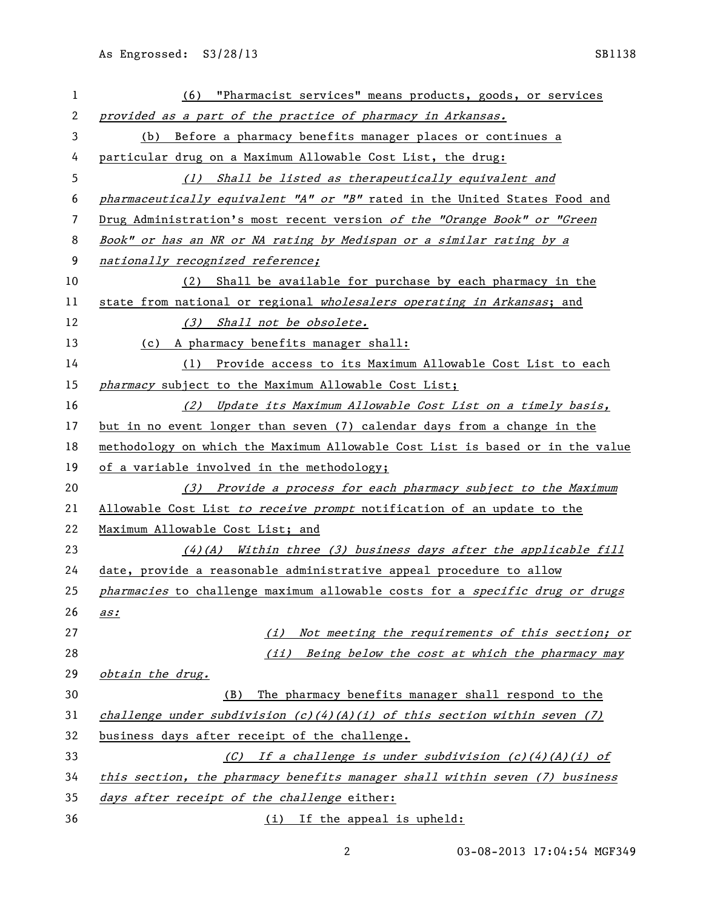| 1  | (6) "Pharmacist services" means products, goods, or services                  |  |
|----|-------------------------------------------------------------------------------|--|
| 2  | provided as a part of the practice of pharmacy in Arkansas.                   |  |
| 3  | (b) Before a pharmacy benefits manager places or continues a                  |  |
| 4  | particular drug on a Maximum Allowable Cost List, the drug:                   |  |
| 5  | (1) Shall be listed as therapeutically equivalent and                         |  |
| 6  | pharmaceutically equivalent "A" or "B" rated in the United States Food and    |  |
| 7  | Drug Administration's most recent version of the "Orange Book" or "Green      |  |
| 8  | Book" or has an NR or NA rating by Medispan or a similar rating by a          |  |
| 9  | nationally recognized reference;                                              |  |
| 10 | Shall be available for purchase by each pharmacy in the<br>(2)                |  |
| 11 | state from national or regional wholesalers operating in Arkansas; and        |  |
| 12 | (3) Shall not be obsolete.                                                    |  |
| 13 | (c) A pharmacy benefits manager shall:                                        |  |
| 14 | (1) Provide access to its Maximum Allowable Cost List to each                 |  |
| 15 | pharmacy subject to the Maximum Allowable Cost List;                          |  |
| 16 | (2) Update its Maximum Allowable Cost List on a timely basis,                 |  |
| 17 | but in no event longer than seven (7) calendar days from a change in the      |  |
| 18 | methodology on which the Maximum Allowable Cost List is based or in the value |  |
| 19 | of a variable involved in the methodology;                                    |  |
| 20 | (3) Provide a process for each pharmacy subject to the Maximum                |  |
| 21 | Allowable Cost List to receive prompt notification of an update to the        |  |
| 22 | Maximum Allowable Cost List; and                                              |  |
| 23 | $(4)$ (A) Within three (3) business days after the applicable fill            |  |
| 24 | date, provide a reasonable administrative appeal procedure to allow           |  |
| 25 | pharmacies to challenge maximum allowable costs for a specific drug or drugs  |  |
| 26 | as:                                                                           |  |
| 27 | Not meeting the requirements of this section; or<br>(i)                       |  |
| 28 | (ii) Being below the cost at which the pharmacy may                           |  |
| 29 | obtain the drug.                                                              |  |
| 30 | The pharmacy benefits manager shall respond to the<br>(B)                     |  |
| 31 | challenge under subdivision $(c)(4)(A)(i)$ of this section within seven (7)   |  |
| 32 | business days after receipt of the challenge.                                 |  |
| 33 | (C) If a challenge is under subdivision $(c)(4)(A)(i)$ of                     |  |
| 34 | this section, the pharmacy benefits manager shall within seven (7) business   |  |
| 35 | days after receipt of the challenge either:                                   |  |
| 36 | (i) If the appeal is upheld:                                                  |  |

03-08-2013 17:04:54 MGF349